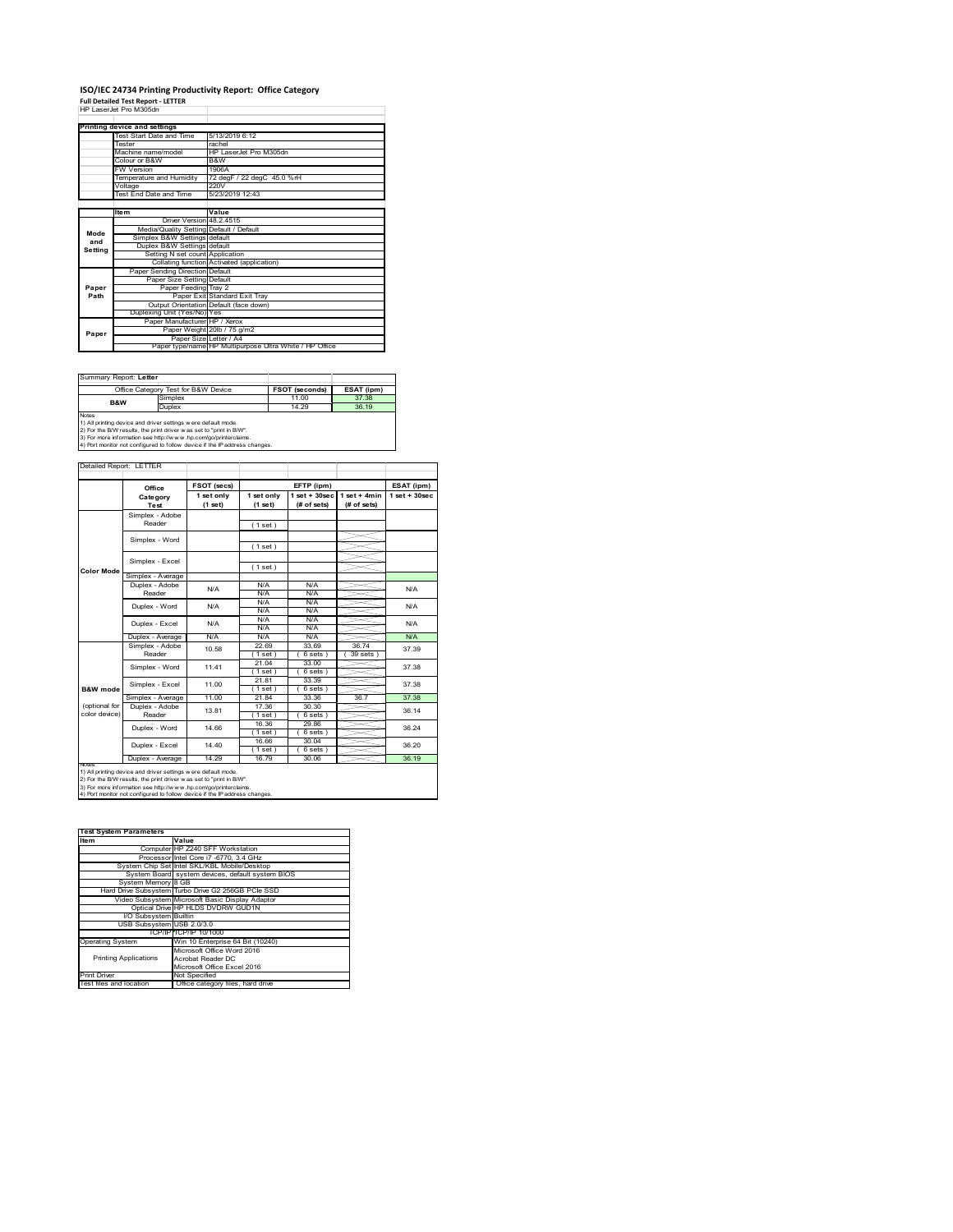### **ISO/IEC 24734 Printing Productivity Report: Office Category Full Detailed Test Report ‐ LETTER** HP LaserJet Pro M305dn

|         | <u>FIF LASCIJCI FIU MJUJUII</u>         |                                                         |
|---------|-----------------------------------------|---------------------------------------------------------|
|         | Printing device and settings            |                                                         |
|         |                                         |                                                         |
|         | Test Start Date and Time                | 5/13/2019 6:12                                          |
|         | Tester                                  | rachel                                                  |
|         | Machine name/model                      | HP LaserJet Pro M305dn                                  |
|         | Colour or B&W                           | B&W                                                     |
|         | <b>FW Version</b>                       | 1906A                                                   |
|         | Temperature and Humidity                | 72 degF / 22 degC 45.0 %rH                              |
|         | Voltage                                 | 220V                                                    |
|         | Test End Date and Time                  | 5/23/2019 12:43                                         |
|         |                                         |                                                         |
|         | <b>Item</b>                             | Value                                                   |
|         | Driver Version 48.2.4515                |                                                         |
| Mode    | Media/Quality Setting Default / Default |                                                         |
| and     | Simplex B&W Settings default            |                                                         |
| Setting | Duplex B&W Settings default             |                                                         |
|         | Setting N set count Application         |                                                         |
|         |                                         | Collating function Activated (application)              |
|         | Paper Sending Direction Default         |                                                         |
|         | Paper Size Setting Default              |                                                         |
| Paper   | Paper Feeding Tray 2                    |                                                         |
| Path    |                                         | Paper Exit Standard Exit Tray                           |
|         |                                         | Output Orientation Default (face down)                  |
|         | Duplexing Unit (Yes/No) Yes             |                                                         |
|         | Paper Manufacturer HP / Xerox           |                                                         |
| Paper   |                                         | Paper Weight 20lb / 75 g/m2                             |
|         |                                         | Paper Size Letter / A4                                  |
|         |                                         | Paper type/name HP Multipurpose Ultra White / HP Office |

| Summary Report: Letter   |                                                                                                                                                                                                          |                       |            |
|--------------------------|----------------------------------------------------------------------------------------------------------------------------------------------------------------------------------------------------------|-----------------------|------------|
|                          | Office Category Test for B&W Device                                                                                                                                                                      | <b>FSOT (seconds)</b> | ESAT (ipm) |
|                          | Simplex                                                                                                                                                                                                  | 11.00                 | 37.38      |
| <b>B&amp;W</b><br>Duplex |                                                                                                                                                                                                          | 14 29                 | 36 19      |
| <b>Notes</b>             | 1) All printing device and driver settings w ere default mode.<br>2) For the B/W results, the print driver was set to "print in B/W".<br>3) For more information see http://www.hp.com/go/printerclaims. |                       |            |
|                          | 4) Port monitor not configured to follow device if the IP address changes.                                                                                                                               |                       |            |

**FETP** (ipm) **ESAT** (ipm) **1 set only (1 set) 1 set only (1 set) 1 set + 30sec (# of sets) 1 set + 4min (# of sets) 1 set + 30sec** ( 1 set ) ( 1 set ) ( 1 set ) Simplex - Average Duplex - Adobe  $N/f$ N/A N/A N/A N/A N/A N/A N/A N/A  $N/A$   $N/A$   $N$ Puplex - Average N/A N/A N/A N/A N/A N/A N/A N/A<br>
Simplex - Adobe 10.58 22.69 33.69 36.74 37.3<br>
Reader 10.58 29.61 (1991) (69615) 39915) 22.69 33.69 36.74  $( 6 \text{ sets } )$   $( 39 \text{ sets } )$ <br> $33.00$ 21.04 33.00 ( 1 set ) ( 6 sets ) 21.81 33.39 ( 1 set ) ( 6 sets ) Simplex - Average 11.00 21.84 33.36 36.7 37.38<br>
Duplex - Adobe 13.81 17.36 30.30 36.14<br>
Reader 13.81 1.981 6.981 36.14 17.36 30.30 1 set ) ( 6 sets )<br>16.36 29.86 29.86  $( 6 \text{ sets } )$ <br> $( 30.04 )$  $(1 \text{ set})$ <br> $(1 \text{ set})$ <br> $(1 \text{ set})$ <br> $(16.79)$  $( 6 \frac{1}{2} )$ Duplex - Average | 14.29 | 16.79 | 30.06 | <u>Saate | 36.19</u> 37.38 etailed Report: LETTER **FSOT** (secs) **Category Test** N/A N/A N/A N/A Simplex - Word notes<br>1) All printing device and driver settings were default mode.<br>2) For the B/W results, the print driver was set to "print in B/W".<br>3) For more information see http://www.hp.com/go/printerclaims.<br>4) Por moralitor not c **B&W** mod (optional for color device) **Color Mode** Simplex - Adobe Reader Simplex - Excel Simplex - Word 11.41 Duplex - Excel Reader Duplex - Word 13.81 17.36 30.30 36.14 N/A 14.40 Duplex - Word Duplex - Excel 36.24 36.20 14.66 Simplex - Excel 11.00 10.58 N/A 37.39 37.38

| <b>Test System Parameters</b> |                                                    |
|-------------------------------|----------------------------------------------------|
| Item                          | Value                                              |
|                               | Computer HP Z240 SFF Workstation                   |
|                               | Processor Intel Core i7 -6770, 3.4 GHz             |
|                               | System Chip Set Intel SKL/KBL Mobile/Desktop       |
|                               | System Board system devices, default system BIOS   |
| System Memory 8 GB            |                                                    |
|                               | Hard Drive Subsystem Turbo Drive G2 256GB PCle SSD |
|                               | Video Subsystem Microsoft Basic Display Adaptor    |
|                               | Optical Drive HP HLDS DVDRW GUD1N                  |
| I/O Subsystem Builtin         |                                                    |
| USB Subsystem USB 2.0/3.0     |                                                    |
|                               | TCP/IP TCP/IP 10/1000                              |
| <b>Operating System</b>       | Win 10 Enterprise 64 Bit (10240)                   |
|                               | Microsoft Office Word 2016                         |
| <b>Printing Applications</b>  | Acrobat Reader DC                                  |
|                               | Microsoft Office Excel 2016                        |
| <b>Print Driver</b>           | Not Specified                                      |
| Test files and location       | Office category files, hard drive                  |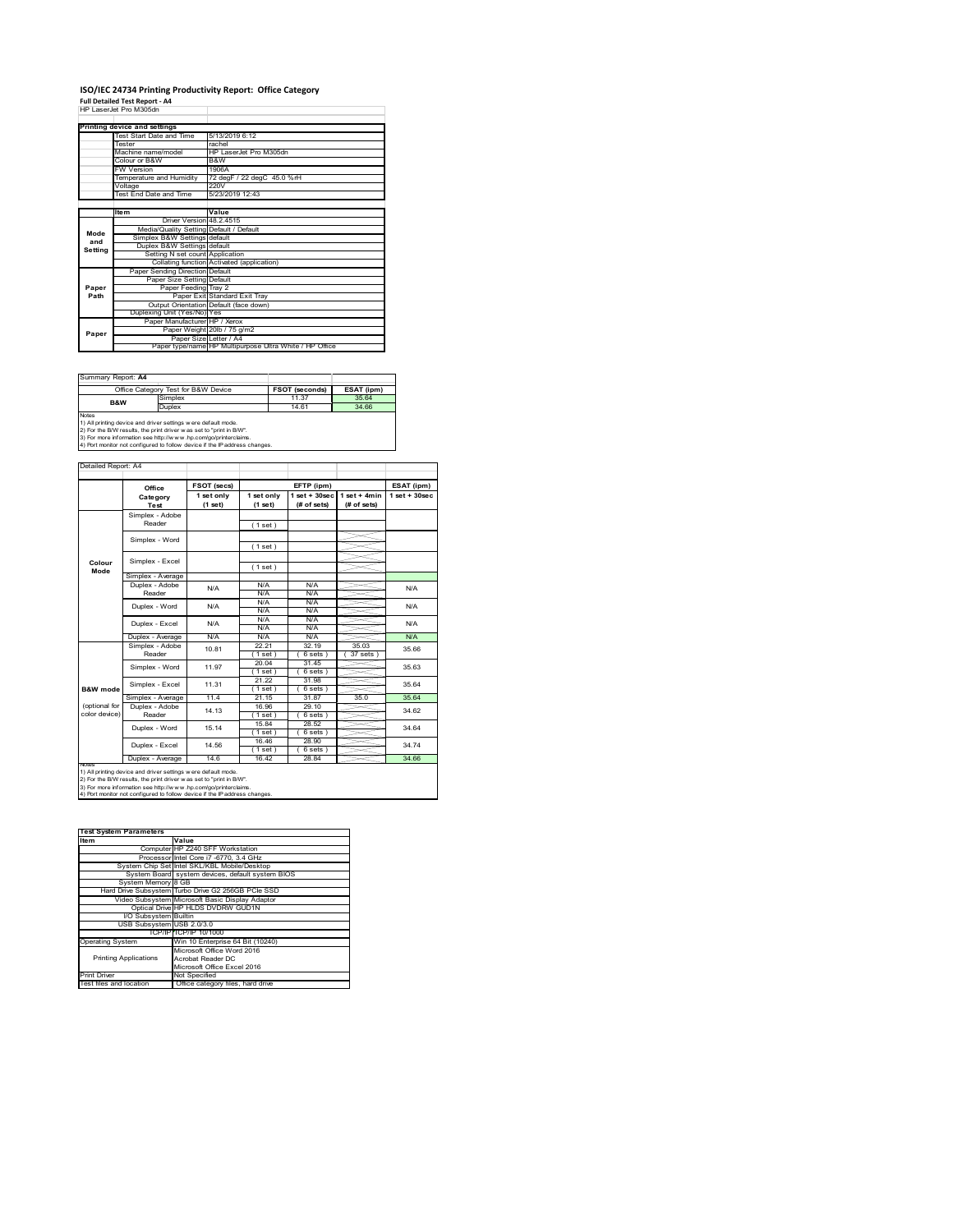### **ISO/IEC 24734 Printing Productivity Report: Office Category Full Detailed Test Report ‐ A4** HP LaserJet Pro M305dn

|         | iii Laosiosti 10 m.ooogii               |                                                         |
|---------|-----------------------------------------|---------------------------------------------------------|
|         |                                         |                                                         |
|         | Printing device and settings            |                                                         |
|         | Test Start Date and Time                | 5/13/2019 6:12                                          |
|         | Tester                                  | rachel                                                  |
|         | Machine name/model                      | HP LaserJet Pro M305dn                                  |
|         | Colour or B&W                           | B&W                                                     |
|         | <b>FW Version</b>                       | 1906A                                                   |
|         | Temperature and Humidity                | 72 degF / 22 degC 45.0 %rH                              |
|         | Voltage                                 | 220V                                                    |
|         | Test End Date and Time                  | 5/23/2019 12:43                                         |
|         |                                         |                                                         |
|         | <b>Item</b>                             | Value                                                   |
|         | Driver Version 48.2.4515                |                                                         |
| Mode    | Media/Quality Setting Default / Default |                                                         |
| and     | Simplex B&W Settings default            |                                                         |
| Setting | Duplex B&W Settings default             |                                                         |
|         | Setting N set count Application         |                                                         |
|         |                                         | Collating function Activated (application)              |
|         | Paper Sending Direction Default         |                                                         |
|         | Paper Size Setting Default              |                                                         |
| Paper   | Paper Feeding Tray 2                    |                                                         |
| Path    |                                         | Paper Exit Standard Exit Tray                           |
|         |                                         | Output Orientation Default (face down)                  |
|         | Duplexing Unit (Yes/No) Yes             |                                                         |
|         | Paper Manufacturer HP / Xerox           |                                                         |
| Paper   |                                         | Paper Weight 20lb / 75 g/m2                             |
|         |                                         | Paper Size Letter / A4                                  |
|         |                                         | Paper type/name HP Multipurpose Ultra White / HP Office |

| Summary Report: A4                                                                         |                                                                                                                                                                                                         |                       |            |
|--------------------------------------------------------------------------------------------|---------------------------------------------------------------------------------------------------------------------------------------------------------------------------------------------------------|-----------------------|------------|
|                                                                                            | Office Category Test for B&W Device                                                                                                                                                                     | <b>FSOT (seconds)</b> | ESAT (ipm) |
| B&W                                                                                        | Simplex                                                                                                                                                                                                 | 11.37                 | 35.64      |
|                                                                                            | Duplex                                                                                                                                                                                                  | 14 61                 | 34.66      |
| <b>Notes</b><br>4) Port monitor not configured to follow device if the IP address changes. | 1) All printing device and driver settings were default mode.<br>2) For the B/W results, the print driver was set to "print in B/W".<br>3) For more information see http://www.hp.com/go/printerclaims. |                       |            |

**FSOT (secs) ESAT (ipm) EFTP (ipm) Office 1 set only (1 set) 1 set only (1 set) 1 set + 30sec (# of sets) 1 set + 4min (# of sets) 1 set + 30sec** ( 1 set ) ( 1 set ) ( 1 set ) Simplex - Average Duplex - Adobe  $N/f$ N/A N/A N/A N/A N/A N/A N/A N/A  $N/A$   $N/A$   $N$ . Puplex - Average N/A N/A N/A N/A N/A N/A N/A<br>Simplex - Adobe 10.81 22.21 32.19 35.03 35.6<br>Reader 10.81 (1.set) (6.sets) 37.sets) 35.6 22.21 32.19 35.03<br>
(1 set) (6 sets) (37 sets)<br>
20.04 31.45  $( 6 \text{ sets } )$ <br> $31.45$ 20.04 31.45 ( 1 set ) ( 6 sets ) 21.22 31.98  $\frac{11.66}{21.15}$   $\overline{)4.15}$   $\overline{)4.15}$   $\overline{)31.87}$ Simplex - Average 11.4 21.15 31.87 35.0 35.64<br>
Duplex - Adobe 14.13 16.96 29.10 34.62<br>
Reader 14.13 16.6t) (6 sets) 34.62 16.96 29.10 ( 1 set ) ( 6 sets ) 15.84 28.52  $( 6 \text{ sets } )$ <br> $28.90$  $(1$  set)<br> $(1$  set)<br> $(1$  set)<br> $16.42$  $( 6 \text{ set} 28.84)$ Duplex - Average | 14.6 | 16.42 | 28.84 | 34.66 14.56 Duplex - Word Duplex - Excel 34.64 34.74 15.14 14.13 N/A 35.66 35.63 35.64 34.62 N/A Simplex - Word 11.97 Duplex - Excel 10.81 notes<br>1) All printing device and driver settings were default mode.<br>2) For the B/W results, the print driver was set to "print in B/W".<br>3) For more information see http://www.hp.com/go/printerclaims.<br>4) Por moralitor not c **B&W** mod (optional for color device) **Colour Mode** Simplex - Adobe Reader Simplex - Excel Simplex - Word Simplex - Excel 11.31 Reader Duplex - Word ailed Report: A4 **Category Test** N/A  $N/A$   $N/A$   $N/A$   $N/A$   $N/A$ N/A

| <b>Test System Parameters</b> |                                                    |
|-------------------------------|----------------------------------------------------|
| Item                          | Value                                              |
|                               | Computer HP Z240 SFF Workstation                   |
|                               | Processor Intel Core i7 -6770, 3.4 GHz             |
|                               | System Chip Set Intel SKL/KBL Mobile/Desktop       |
|                               | System Board system devices, default system BIOS   |
| System Memory 8 GB            |                                                    |
|                               | Hard Drive Subsystem Turbo Drive G2 256GB PCle SSD |
|                               | Video Subsystem Microsoft Basic Display Adaptor    |
|                               | Optical Drive HP HLDS DVDRW GUD1N                  |
| I/O Subsystem Builtin         |                                                    |
| USB Subsystem USB 2.0/3.0     |                                                    |
|                               | TCP/IPITCP/IP 10/1000                              |
| <b>Operating System</b>       | Win 10 Enterprise 64 Bit (10240)                   |
|                               | Microsoft Office Word 2016                         |
| <b>Printing Applications</b>  | Acrobat Reader DC                                  |
|                               | Microsoft Office Excel 2016                        |
| <b>Print Driver</b>           | Not Specified                                      |
| Test files and location       | Office category files, hard drive                  |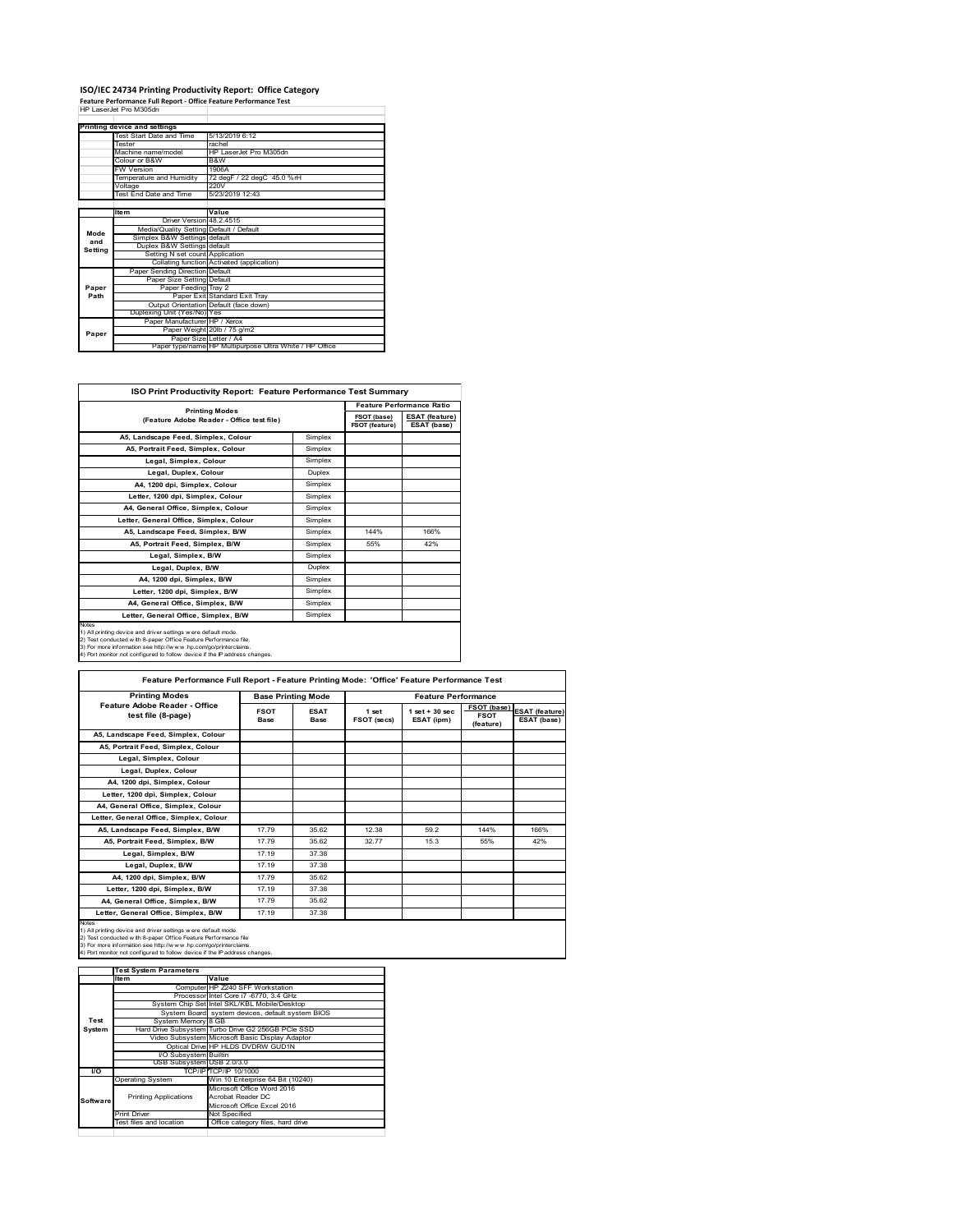# **ISO/IEC 24734 Printing Productivity Report: Office Category Feature Performance Full Report ‐ Office Feature Performance Test** HP LaserJet Pro M305dn

|         | Printing device and settings            |                                                         |
|---------|-----------------------------------------|---------------------------------------------------------|
|         | Test Start Date and Time                | 5/13/2019 6:12                                          |
|         | Tester                                  | rachel                                                  |
|         | Machine name/model                      | HP Laser let Pro M305dn                                 |
|         | Colour or B&W                           | B&W                                                     |
|         | <b>FW Version</b>                       | 1906A                                                   |
|         | Temperature and Humidity                | 72 degF / 22 degC 45.0 %rH                              |
|         | Voltage                                 | 220V                                                    |
|         | Test End Date and Time                  | 5/23/2019 12:43                                         |
|         |                                         |                                                         |
|         | <b>Item</b>                             | Value                                                   |
|         | Driver Version 48.2.4515                |                                                         |
| Mode    | Media/Quality Setting Default / Default |                                                         |
| and     | Simplex B&W Settings default            |                                                         |
| Setting | Duplex B&W Settings default             |                                                         |
|         | Setting N set count Application         |                                                         |
|         |                                         | Collating function Activated (application)              |
|         | Paper Sending Direction Default         |                                                         |
|         | Paper Size Setting Default              |                                                         |
| Paper   | Paper Feeding Tray 2                    |                                                         |
| Path    |                                         | Paper Exit Standard Exit Tray                           |
|         |                                         | Output Orientation Default (face down)                  |
|         | Duplexing Unit (Yes/No) Yes             |                                                         |
|         | Paper Manufacturer HP / Xerox           |                                                         |
| Paper   |                                         | Paper Weight 20lb / 75 g/m2                             |
|         | Paper Size Letter / A4                  |                                                         |
|         |                                         | Paper type/name HP Multipurpose Ultra White / HP Office |

| <b>ISO Print Productivity Report: Feature Performance Test Summary</b>                                                                                                                                                                                                                            |         |                                  |                                      |  |
|---------------------------------------------------------------------------------------------------------------------------------------------------------------------------------------------------------------------------------------------------------------------------------------------------|---------|----------------------------------|--------------------------------------|--|
|                                                                                                                                                                                                                                                                                                   |         | <b>Feature Performance Ratio</b> |                                      |  |
| <b>Printing Modes</b><br>(Feature Adobe Reader - Office test file)                                                                                                                                                                                                                                |         |                                  | <b>ESAT</b> (feature)<br>ESAT (base) |  |
| A5. Landscape Feed. Simplex. Colour                                                                                                                                                                                                                                                               | Simplex |                                  |                                      |  |
| A5, Portrait Feed, Simplex, Colour                                                                                                                                                                                                                                                                | Simplex |                                  |                                      |  |
| Legal, Simplex, Colour                                                                                                                                                                                                                                                                            | Simplex |                                  |                                      |  |
| Legal, Duplex, Colour                                                                                                                                                                                                                                                                             | Duplex  |                                  |                                      |  |
| A4, 1200 dpi, Simplex, Colour                                                                                                                                                                                                                                                                     | Simplex |                                  |                                      |  |
| Letter, 1200 dpi, Simplex, Colour                                                                                                                                                                                                                                                                 | Simplex |                                  |                                      |  |
| A4. General Office. Simplex. Colour                                                                                                                                                                                                                                                               | Simplex |                                  |                                      |  |
| Letter, General Office, Simplex, Colour                                                                                                                                                                                                                                                           | Simplex |                                  |                                      |  |
| A5, Landscape Feed, Simplex, B/W                                                                                                                                                                                                                                                                  | Simplex | 144%                             | 166%                                 |  |
| A5. Portrait Feed. Simplex. B/W                                                                                                                                                                                                                                                                   | Simplex | 55%                              | 42%                                  |  |
| Legal, Simplex, B/W                                                                                                                                                                                                                                                                               | Simplex |                                  |                                      |  |
| Legal, Duplex, B/W                                                                                                                                                                                                                                                                                | Duplex  |                                  |                                      |  |
| A4, 1200 dpi, Simplex, B/W                                                                                                                                                                                                                                                                        | Simplex |                                  |                                      |  |
| Letter, 1200 dpi, Simplex, B/W                                                                                                                                                                                                                                                                    | Simplex |                                  |                                      |  |
| A4, General Office, Simplex, B/W                                                                                                                                                                                                                                                                  | Simplex |                                  |                                      |  |
| Letter, General Office, Simplex, B/W                                                                                                                                                                                                                                                              | Simplex |                                  |                                      |  |
| <b>Notes</b><br>1) All printing device and driver settings were default mode.<br>2) Test conducted with 8-paper Office Feature Performance file.<br>3) For more information see http://www.hp.com/go/printerclaims.<br>4) Port monitor not configured to follow device if the IP address changes. |         |                                  |                                      |  |

| <b>Printing Modes</b>                               | <b>Base Printing Mode</b> |                     |                      | <b>Feature Performance</b>      |                                         |                                      |  |
|-----------------------------------------------------|---------------------------|---------------------|----------------------|---------------------------------|-----------------------------------------|--------------------------------------|--|
| Feature Adobe Reader - Office<br>test file (8-page) | <b>FSOT</b><br>Base       | <b>ESAT</b><br>Base | 1 set<br>FSOT (secs) | $1$ set $+30$ sec<br>ESAT (ipm) | FSOT (base)<br><b>FSOT</b><br>(feature) | <b>ESAT</b> (feature)<br>ESAT (base) |  |
| A5, Landscape Feed, Simplex, Colour                 |                           |                     |                      |                                 |                                         |                                      |  |
| A5, Portrait Feed, Simplex, Colour                  |                           |                     |                      |                                 |                                         |                                      |  |
| Legal, Simplex, Colour                              |                           |                     |                      |                                 |                                         |                                      |  |
| Legal, Duplex, Colour                               |                           |                     |                      |                                 |                                         |                                      |  |
| A4, 1200 dpi, Simplex, Colour                       |                           |                     |                      |                                 |                                         |                                      |  |
| Letter, 1200 dpi, Simplex, Colour                   |                           |                     |                      |                                 |                                         |                                      |  |
| A4, General Office, Simplex, Colour                 |                           |                     |                      |                                 |                                         |                                      |  |
| Letter, General Office, Simplex, Colour             |                           |                     |                      |                                 |                                         |                                      |  |
| A5, Landscape Feed, Simplex, B/W                    | 17.79                     | 35.62               | 12.38                | 59.2                            | 144%                                    | 166%                                 |  |
| A5, Portrait Feed, Simplex, B/W                     | 1779                      | 35.62               | 32.77                | 15.3                            | 55%                                     | 42%                                  |  |
| Legal, Simplex, B/W                                 | 17.19                     | 37.38               |                      |                                 |                                         |                                      |  |
| Legal, Duplex, B/W                                  | 17.19                     | 37.38               |                      |                                 |                                         |                                      |  |
| A4, 1200 dpi, Simplex, B/W                          | 17 79                     | 35.62               |                      |                                 |                                         |                                      |  |
| Letter, 1200 dpi, Simplex, B/W                      | 17 19                     | 37.38               |                      |                                 |                                         |                                      |  |
| A4, General Office, Simplex, B/W                    | 17.79                     | 35.62               |                      |                                 |                                         |                                      |  |
| Letter, General Office, Simplex, B/W                | 17.19                     | 37.38               |                      |                                 |                                         |                                      |  |

1) All printing device and driver settings were default mode.<br>2) Test conducted with 8-paper Office Feature Performance file<br>3) For more information see http://www.hp.com/go/printerclaims.<br>4) Port monitor not configured to

|           | <b>Test System Parameters</b>  |                                                    |
|-----------|--------------------------------|----------------------------------------------------|
|           | Item                           | Value                                              |
|           |                                | Computer HP Z240 SFF Workstation                   |
|           |                                | Processor Intel Core i7 -6770, 3.4 GHz             |
|           |                                | System Chip Set Intel SKL/KBL Mobile/Desktop       |
|           |                                | System Board system devices, default system BIOS   |
| Test      | System Memory 8 GB             |                                                    |
| System    |                                | Hard Drive Subsystem Turbo Drive G2 256GB PCle SSD |
|           |                                | Video Subsystem Microsoft Basic Display Adaptor    |
|           |                                | Optical Drive HP HLDS DVDRW GUD1N                  |
|           | <b>VO Subsystem Builtin</b>    |                                                    |
|           | USB Subsystem USB 2.0/3.0      |                                                    |
| <b>VO</b> |                                | TCP/IP/TCP/IP 10/1000                              |
|           | <b>Operating System</b>        | Win 10 Enterprise 64 Bit (10240)                   |
|           |                                | Microsoft Office Word 2016                         |
| Software  | <b>Printing Applications</b>   | Acrobat Reader DC                                  |
|           |                                | Microsoft Office Excel 2016                        |
|           | <b>Print Driver</b>            | Not Specified                                      |
|           | <b>Test files and location</b> | Office category files, hard drive                  |
|           |                                |                                                    |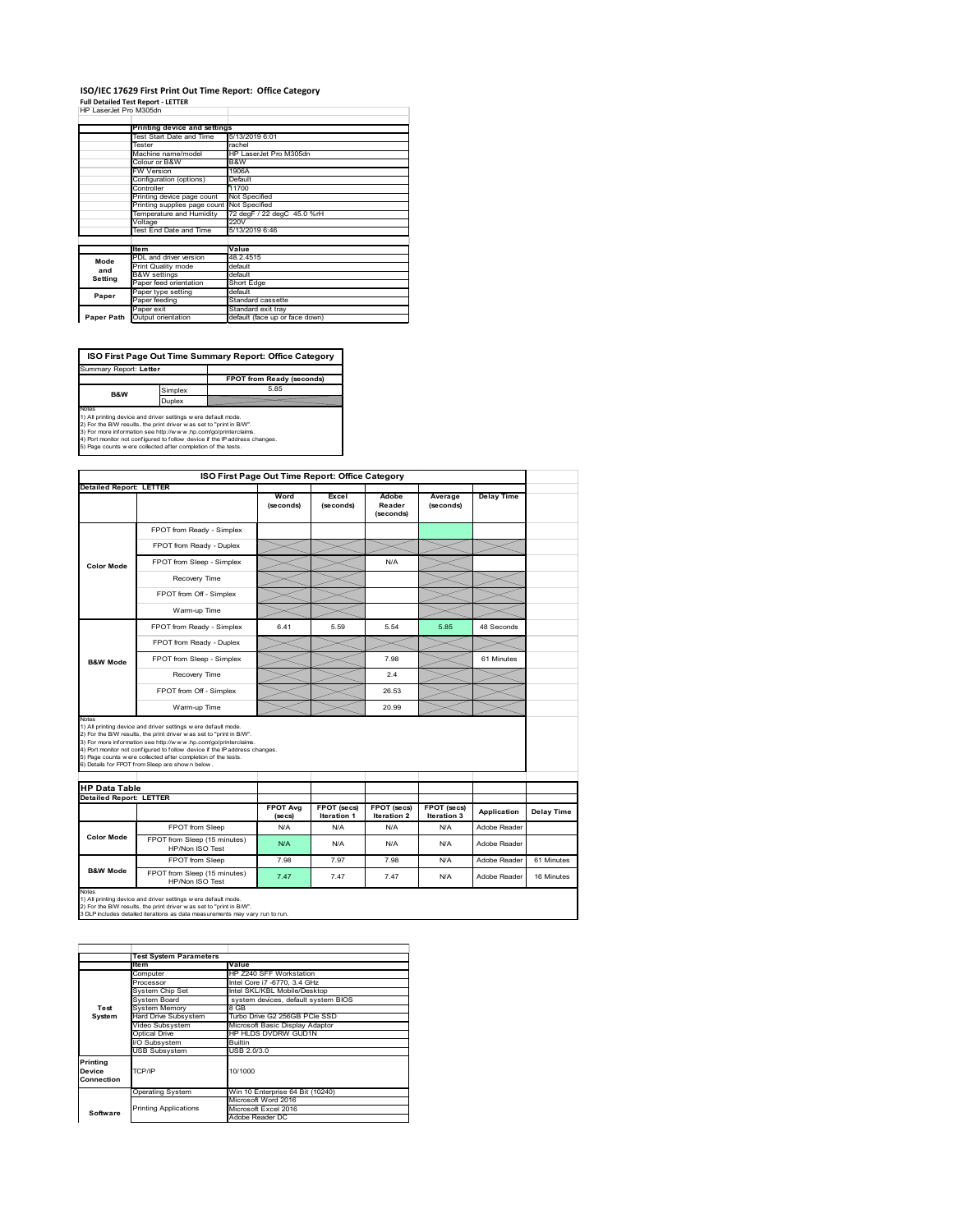## **ISO/IEC 17629 First Print Out Time Report: Office Category**

**Full Detailed Test Report ‐ LETTER** HP LaserJet Pro M305dn

| iii Laosiusti 10 muuuuil |                              |                                |
|--------------------------|------------------------------|--------------------------------|
|                          | Printing device and settings |                                |
|                          | Test Start Date and Time     | 5/13/2019 6:01                 |
|                          | Tester                       | rachel                         |
|                          | Machine name/model           | HP LaserJet Pro M305dn         |
|                          | Colour or B&W                | B&W                            |
|                          | <b>FW Version</b>            | 1906A                          |
|                          | Configuration (options)      | Default                        |
|                          | Controller                   | 11700                          |
|                          | Printing device page count   | Not Specified                  |
|                          | Printing supplies page count | Not Specified                  |
|                          | Temperature and Humidity     | 72 degF / 22 degC 45.0 %rH     |
|                          | Voltage                      | 220V                           |
|                          | Test End Date and Time       | 5/13/2019 6:46                 |
|                          |                              |                                |
|                          | <b>Item</b>                  | Value                          |
| Mode                     | PDL and driver version       | 48.2.4515                      |
| and                      | Print Quality mode           | default                        |
| Setting                  | <b>B&amp;W</b> settings      | default                        |
|                          | Paper feed orientation       | Short Edge                     |
| Paper                    | Paper type setting           | default                        |
|                          | Paper feeding                | Standard cassette              |
|                          | Paper exit                   | Standard exit tray             |
| Paper Path               | Output orientation           | default (face up or face down) |

**ISO First Page Out Time Summary Report: Office Category** t: Letter

**FPOT from Ready (seconds)**<br>
Simplex 5.85 **B&W**

**Duplex**<br>Notes<br>1) All printing device and driver settings were default mode.<br>2) For the BM results, the print driver was set to "print in BM".<br>4) For more information see http://www.hp.com/golprinterclaims.<br>4) Port monitor

|                                                                 |                                                                                                                                                                                                                                                                                                                                                                                                             |                            | ISO First Page Out Time Report: Office Category |                                   |                            |                   |            |
|-----------------------------------------------------------------|-------------------------------------------------------------------------------------------------------------------------------------------------------------------------------------------------------------------------------------------------------------------------------------------------------------------------------------------------------------------------------------------------------------|----------------------------|-------------------------------------------------|-----------------------------------|----------------------------|-------------------|------------|
|                                                                 | <b>Detailed Report: LETTER</b>                                                                                                                                                                                                                                                                                                                                                                              | Word<br>(seconds)          | Excel<br>(seconds)                              | Adobe<br>Reader<br>(seconds)      | Average<br>(seconds)       | <b>Delay Time</b> |            |
|                                                                 | FPOT from Ready - Simplex                                                                                                                                                                                                                                                                                                                                                                                   |                            |                                                 |                                   |                            |                   |            |
|                                                                 | FPOT from Ready - Duplex                                                                                                                                                                                                                                                                                                                                                                                    |                            |                                                 |                                   |                            |                   |            |
| Color Mode                                                      | FPOT from Sleep - Simplex                                                                                                                                                                                                                                                                                                                                                                                   |                            |                                                 | N/A                               |                            |                   |            |
|                                                                 | Recovery Time                                                                                                                                                                                                                                                                                                                                                                                               |                            |                                                 |                                   |                            |                   |            |
|                                                                 | FPOT from Off - Simplex                                                                                                                                                                                                                                                                                                                                                                                     |                            |                                                 |                                   |                            |                   |            |
|                                                                 | Warm-up Time                                                                                                                                                                                                                                                                                                                                                                                                |                            |                                                 |                                   |                            |                   |            |
|                                                                 | FPOT from Ready - Simplex                                                                                                                                                                                                                                                                                                                                                                                   | 6.41                       | 5.59                                            | 5.54                              | 5.85                       | 48 Seconds        |            |
|                                                                 | FPOT from Ready - Duplex                                                                                                                                                                                                                                                                                                                                                                                    |                            |                                                 |                                   |                            |                   |            |
| <b>B&amp;W Mode</b>                                             | FPOT from Sleep - Simplex                                                                                                                                                                                                                                                                                                                                                                                   |                            |                                                 | 7.98                              |                            | 61 Minutes        |            |
|                                                                 | Recovery Time                                                                                                                                                                                                                                                                                                                                                                                               |                            |                                                 | 2.4                               |                            |                   |            |
|                                                                 | FPOT from Off - Simplex                                                                                                                                                                                                                                                                                                                                                                                     |                            |                                                 | 26.53                             |                            |                   |            |
|                                                                 |                                                                                                                                                                                                                                                                                                                                                                                                             |                            |                                                 |                                   |                            |                   |            |
|                                                                 | Warm-up Time                                                                                                                                                                                                                                                                                                                                                                                                |                            |                                                 | 20.99                             |                            |                   |            |
|                                                                 | 1) All printing device and driver settings w ere default mode.<br>2) For the B/W results, the print driver was set to "print in B/W".<br>3) For more information see http://www.hp.com/go/printerclaims.<br>4) Port monitor not configured to follow device if the IP address changes.<br>5) Page counts w ere collected after completion of the tests.<br>6) Details for FPOT from Sleep are show n below. |                            |                                                 |                                   |                            |                   |            |
|                                                                 |                                                                                                                                                                                                                                                                                                                                                                                                             |                            |                                                 |                                   |                            |                   |            |
|                                                                 |                                                                                                                                                                                                                                                                                                                                                                                                             | <b>FPOT Avg</b><br>(se cs) | FPOT (secs)<br><b>Iteration 1</b>               | FPOT (secs)<br><b>Iteration 2</b> | FPOT (secs)<br>Iteration 3 | Application       |            |
|                                                                 | FPOT from Sleep                                                                                                                                                                                                                                                                                                                                                                                             | N/A                        | N/A                                             | N/A                               | N/A                        | Adobe Reader      | Delay Time |
| <b>Color Mode</b>                                               | FPOT from Sleep (15 minutes)<br>HP/Non ISO Test                                                                                                                                                                                                                                                                                                                                                             | N/A                        | N/A                                             | N/A                               | N/A                        | Adobe Reader      |            |
| Notes<br><b>HP Data Table</b><br><b>Detailed Report: LETTER</b> | FPOT from Sleep                                                                                                                                                                                                                                                                                                                                                                                             | 7.98                       | 7.97                                            | 7.98                              | N/A                        | Adobe Reader      | 61 Minutes |

1) All printing device and driver settings w ere default mode.<br>2) For the B/W results, the print driver w as set to "print in B/W".<br>3 DLP includes detailed iterations as data measurements may vary run to run.

|                                  | <b>Test System Parameters</b> |                                     |  |  |
|----------------------------------|-------------------------------|-------------------------------------|--|--|
|                                  | <b>Item</b>                   | Value                               |  |  |
|                                  | Computer                      | HP Z240 SFF Workstation             |  |  |
|                                  | Processor                     | Intel Core i7 -6770, 3.4 GHz        |  |  |
|                                  | System Chip Set               | Intel SKL/KBL Mobile/Desktop        |  |  |
|                                  | System Board                  | system devices, default system BIOS |  |  |
| Test                             | <b>System Memory</b>          | 8 GB                                |  |  |
| System                           | Hard Drive Subsystem          | Turbo Drive G2 256GB PCle SSD       |  |  |
|                                  | Video Subsystem               | Microsoft Basic Display Adaptor     |  |  |
|                                  | Optical Drive                 | HP HLDS DVDRW GUD1N                 |  |  |
|                                  | I/O Subsystem                 | <b>Builtin</b>                      |  |  |
|                                  | <b>USB Subsystem</b>          | USB 2.0/3.0                         |  |  |
| Printing<br>Device<br>Connection | TCP/IP                        | 10/1000                             |  |  |
|                                  | <b>Operating System</b>       | Win 10 Enterprise 64 Bit (10240)    |  |  |
|                                  |                               | Microsoft Word 2016                 |  |  |
| Software                         | <b>Printing Applications</b>  | Microsoft Excel 2016                |  |  |
|                                  |                               | Adobe Reader DC                     |  |  |